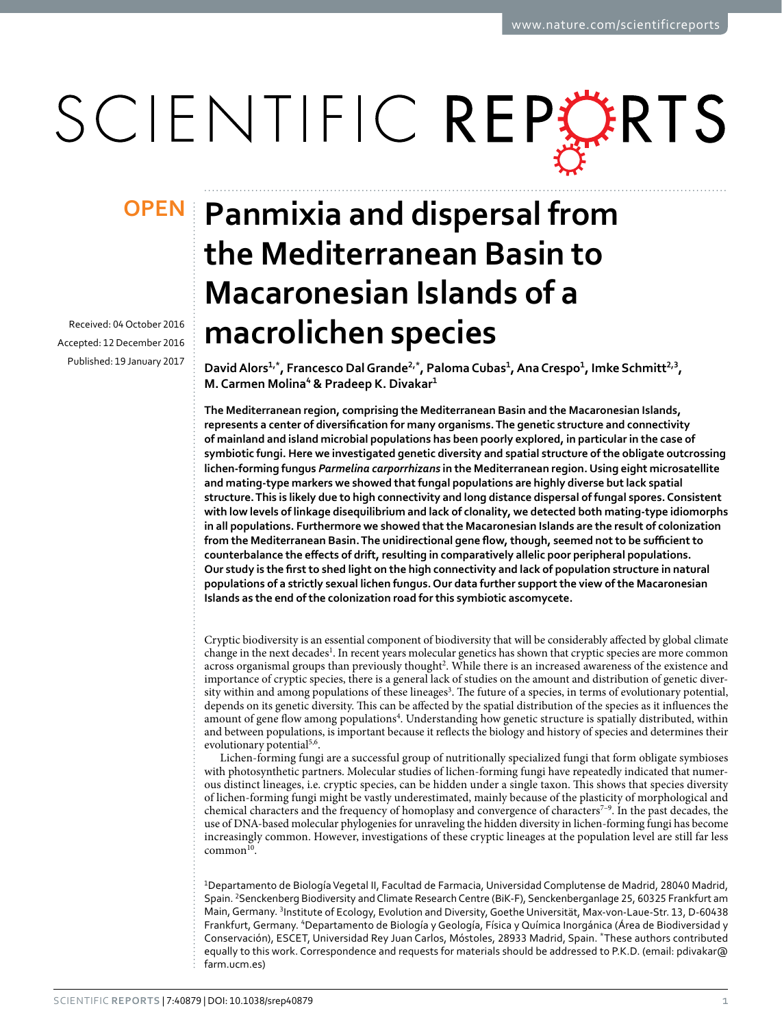# SCIENTIFIC REPERTS

Received: 04 October 2016 accepted: 12 December 2016 Published: 19 January 2017

## **Panmixia and dispersal from OPENthe Mediterranean Basin to Macaronesian Islands of a macrolichen species**

**DavidAlors<sup>1</sup>,\*, Francesco DalGrande<sup>2</sup>,\*, PalomaCubas<sup>1</sup>, AnaCrespo<sup>1</sup>, Imke Schmitt<sup>2</sup>,<sup>3</sup>, M. Carmen Molina<sup>4</sup> & Pradeep K. Divakar<sup>1</sup>**

**The Mediterranean region, comprising the Mediterranean Basin and the Macaronesian Islands, represents a center of diversification for many organisms. The genetic structure and connectivity of mainland and island microbial populations has been poorly explored, in particular in the case of symbiotic fungi. Here we investigated genetic diversity and spatial structure of the obligate outcrossing lichen-forming fungus** *Parmelina carporrhizans* **in the Mediterranean region. Using eight microsatellite and mating-type markers we showed that fungal populations are highly diverse but lack spatial structure. This is likely due to high connectivity and long distance dispersal of fungal spores. Consistent with low levels of linkage disequilibrium and lack of clonality, we detected both mating-type idiomorphs in all populations. Furthermore we showed that the Macaronesian Islands are the result of colonization from the Mediterranean Basin. The unidirectional gene flow, though, seemed not to be sufficient to counterbalance the effects of drift, resulting in comparatively allelic poor peripheral populations. Our study is the first to shed light on the high connectivity and lack of population structure in natural populations of a strictly sexual lichen fungus. Our data further support the view of the Macaronesian Islands as the end of the colonization road for this symbiotic ascomycete.**

Cryptic biodiversity is an essential component of biodiversity that will be considerably affected by global climate change in the next decades<sup>[1](#page-7-0)</sup>. In recent years molecular genetics has shown that cryptic species are more common across organismal groups than previously thought<sup>[2](#page-7-1)</sup>. While there is an increased awareness of the existence and importance of cryptic species, there is a general lack of studies on the amount and distribution of genetic diversity within and among populations of these lineages<sup>3</sup>. The future of a species, in terms of evolutionary potential, depends on its genetic diversity. This can be affected by the spatial distribution of the species as it influences the amount of gene flow among populations<sup>4</sup>. Understanding how genetic structure is spatially distributed, within and between populations, is important because it reflects the biology and history of species and determines their evolutionary potential<sup>5[,6](#page-7-5)</sup>.

Lichen-forming fungi are a successful group of nutritionally specialized fungi that form obligate symbioses with photosynthetic partners. Molecular studies of lichen-forming fungi have repeatedly indicated that numerous distinct lineages, i.e. cryptic species, can be hidden under a single taxon. This shows that species diversity of lichen-forming fungi might be vastly underestimated, mainly because of the plasticity of morphological and chemical characters and the frequency of homoplasy and convergence of characters<sup>7-9</sup>. In the past decades, the use of DNA-based molecular phylogenies for unraveling the hidden diversity in lichen-forming fungi has become increasingly common. However, investigations of these cryptic lineages at the population level are still far less  $common<sup>10</sup>$ .

1 Departamento de Biología Vegetal II, Facultad de Farmacia, Universidad Complutense de Madrid, 28040 Madrid, Spain. <sup>2</sup>Senckenberg Biodiversity and Climate Research Centre (BiK-F), Senckenberganlage 25, 60325 Frankfurt am Main, Germany. <sup>3</sup>Institute of Ecology, Evolution and Diversity, Goethe Universität, Max-von-Laue-Str. 13, D-60438 Frankfurt, Germany. <sup>4</sup>Departamento de Biología y Geología, Física y Química Inorgánica (Área de Biodiversidad y Conservación), ESCET, Universidad Rey Juan Carlos, Móstoles, 28933 Madrid, Spain. \*These authors contributed equally to this work. Correspondence and requests for materials should be addressed to P.K.D. (email: [pdivakar@](mailto:pdivakar@farm.ucm.es) [farm.ucm.es\)](mailto:pdivakar@farm.ucm.es)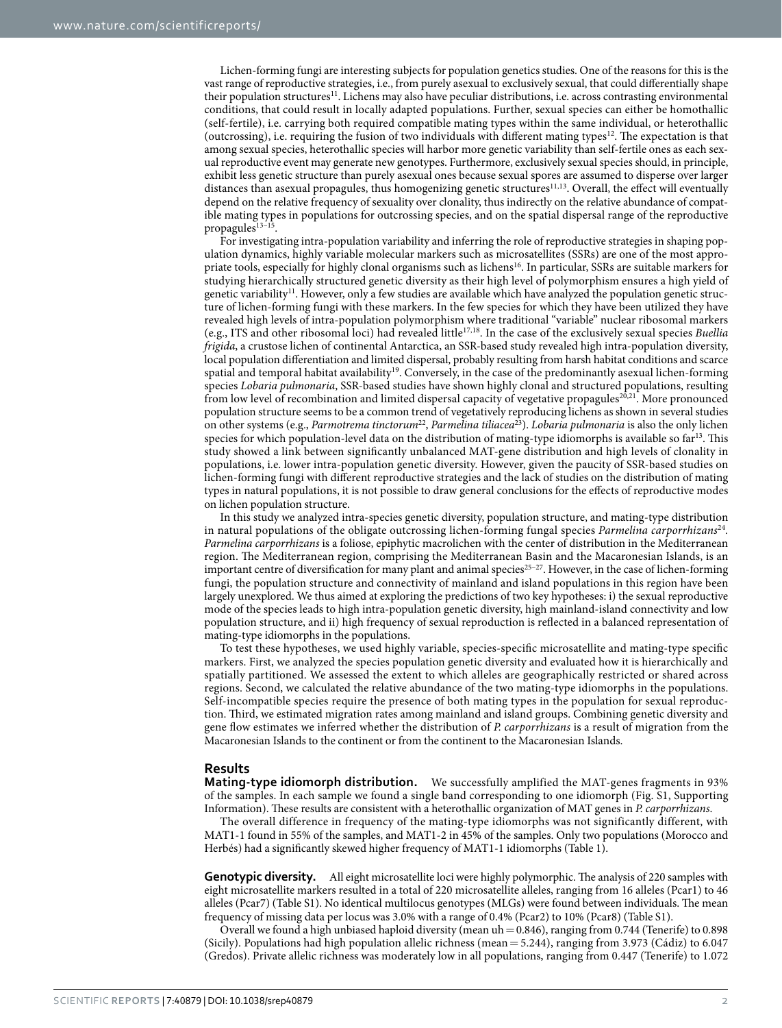Lichen-forming fungi are interesting subjects for population genetics studies. One of the reasons for this is the vast range of reproductive strategies, i.e., from purely asexual to exclusively sexual, that could differentially shape their population structures<sup>[11](#page-7-8)</sup>. Lichens may also have peculiar distributions, i.e. across contrasting environmental conditions, that could result in locally adapted populations. Further, sexual species can either be homothallic (self-fertile), i.e. carrying both required compatible mating types within the same individual, or heterothallic (outcrossing), i.e. requiring the fusion of two individuals with different mating types<sup>12</sup>. The expectation is that among sexual species, heterothallic species will harbor more genetic variability than self-fertile ones as each sexual reproductive event may generate new genotypes. Furthermore, exclusively sexual species should, in principle, exhibit less genetic structure than purely asexual ones because sexual spores are assumed to disperse over larger distances than asexual propagules, thus homogenizing genetic structures<sup>[11,](#page-7-8)13</sup>. Overall, the effect will eventually depend on the relative frequency of sexuality over clonality, thus indirectly on the relative abundance of compatible mating types in populations for outcrossing species, and on the spatial dispersal range of the reproductive propagules<sup>13-15</sup>.

For investigating intra-population variability and inferring the role of reproductive strategies in shaping population dynamics, highly variable molecular markers such as microsatellites (SSRs) are one of the most appropriate tools, especially for highly clonal organisms such as lichen[s16.](#page-7-11) In particular, SSRs are suitable markers for studying hierarchically structured genetic diversity as their high level of polymorphism ensures a high yield of genetic variability<sup>11</sup>. However, only a few studies are available which have analyzed the population genetic structure of lichen-forming fungi with these markers. In the few species for which they have been utilized they have revealed high levels of intra-population polymorphism where traditional "variable" nuclear ribosomal markers (e.g., ITS and other ribosomal loci) had revealed little[17](#page-7-12),[18.](#page-7-13) In the case of the exclusively sexual species *Buellia frigida*, a crustose lichen of continental Antarctica, an SSR-based study revealed high intra-population diversity, local population differentiation and limited dispersal, probably resulting from harsh habitat conditions and scarce spatial and temporal habitat availability<sup>19</sup>. Conversely, in the case of the predominantly asexual lichen-forming species *Lobaria pulmonaria*, SSR-based studies have shown highly clonal and structured populations, resulting from low level of recombination and limited dispersal capacity of vegetative propagules<sup>[20,](#page-7-15)21</sup>. More pronounced population structure seems to be a common trend of vegetatively reproducing lichens as shown in several studies on other systems (e.g., *Parmotrema tinctorum*[22](#page-7-17), *Parmelina tiliacea*[23\)](#page-7-18). *Lobaria pulmonaria* is also the only lichen species for which population-level data on the distribution of mating-type idiomorphs is available so  $far^{13}$  $far^{13}$  $far^{13}$ . This study showed a link between significantly unbalanced MAT-gene distribution and high levels of clonality in populations, i.e. lower intra-population genetic diversity. However, given the paucity of SSR-based studies on lichen-forming fungi with different reproductive strategies and the lack of studies on the distribution of mating types in natural populations, it is not possible to draw general conclusions for the effects of reproductive modes on lichen population structure.

In this study we analyzed intra-species genetic diversity, population structure, and mating-type distribution in natural populations of the obligate outcrossing lichen-forming fungal species *Parmelina carporrhizans*[24](#page-7-19)*. Parmelina carporrhizans* is a foliose, epiphytic macrolichen with the center of distribution in the Mediterranean region. The Mediterranean region, comprising the Mediterranean Basin and the Macaronesian Islands, is an important centre of diversification for many plant and animal species<sup>25-27</sup>. However, in the case of lichen-forming fungi, the population structure and connectivity of mainland and island populations in this region have been largely unexplored. We thus aimed at exploring the predictions of two key hypotheses: i) the sexual reproductive mode of the species leads to high intra-population genetic diversity, high mainland-island connectivity and low population structure, and ii) high frequency of sexual reproduction is reflected in a balanced representation of mating-type idiomorphs in the populations.

To test these hypotheses, we used highly variable, species-specific microsatellite and mating-type specific markers. First, we analyzed the species population genetic diversity and evaluated how it is hierarchically and spatially partitioned. We assessed the extent to which alleles are geographically restricted or shared across regions. Second, we calculated the relative abundance of the two mating-type idiomorphs in the populations. Self-incompatible species require the presence of both mating types in the population for sexual reproduction. Third, we estimated migration rates among mainland and island groups. Combining genetic diversity and gene flow estimates we inferred whether the distribution of *P. carporrhizans* is a result of migration from the Macaronesian Islands to the continent or from the continent to the Macaronesian Islands.

#### **Results**

**Mating-type idiomorph distribution.** We successfully amplified the MAT-genes fragments in 93% of the samples. In each sample we found a single band corresponding to one idiomorph (Fig. S1, Supporting Information). These results are consistent with a heterothallic organization of MAT genes in *P. carporrhizans*.

The overall difference in frequency of the mating-type idiomorphs was not significantly different, with MAT1-1 found in 55% of the samples, and MAT1-2 in 45% of the samples. Only two populations (Morocco and Herbés) had a significantly skewed higher frequency of MAT1-1 idiomorphs ([Table 1](#page-2-0)).

**Genotypic diversity.** All eight microsatellite loci were highly polymorphic. The analysis of 220 samples with eight microsatellite markers resulted in a total of 220 microsatellite alleles, ranging from 16 alleles (Pcar1) to 46 alleles (Pcar7) (Table S1). No identical multilocus genotypes (MLGs) were found between individuals. The mean frequency of missing data per locus was 3.0% with a range of 0.4% (Pcar2) to 10% (Pcar8) (Table S1).

Overall we found a high unbiased haploid diversity (mean uh= 0.846), ranging from 0.744 (Tenerife) to 0.898 (Sicily). Populations had high population allelic richness (mean= 5.244), ranging from 3.973 (Cádiz) to 6.047 (Gredos). Private allelic richness was moderately low in all populations, ranging from 0.447 (Tenerife) to 1.072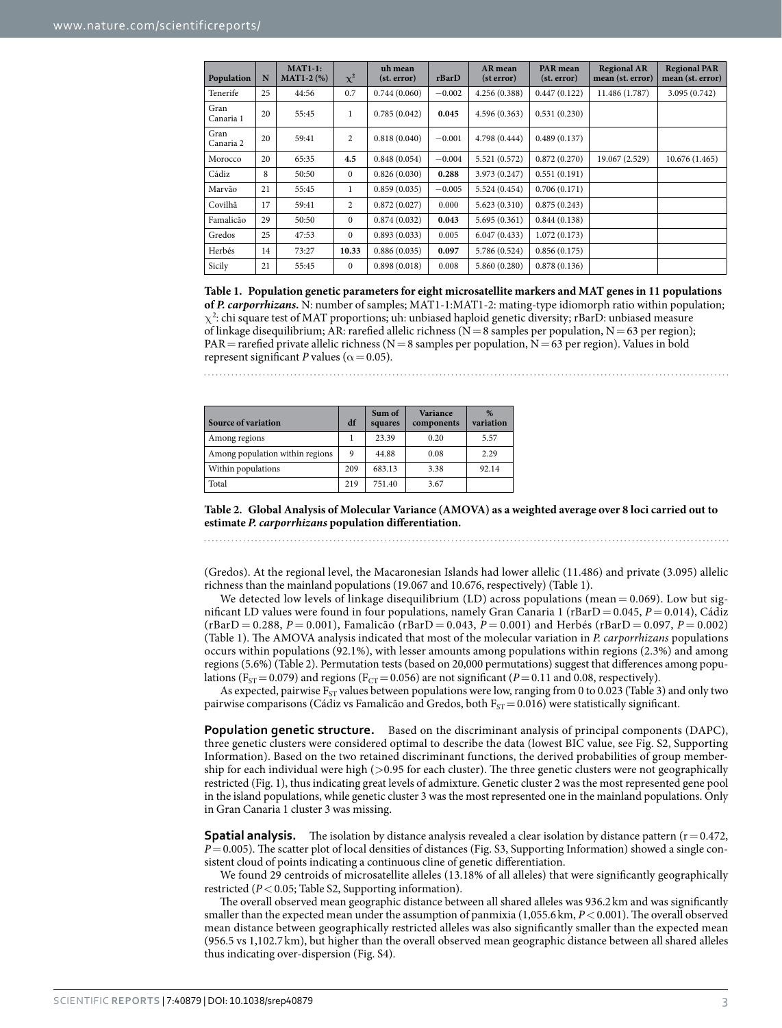<span id="page-2-0"></span>

| Population        | N  | $MAT1-1:$<br>$MAT1-2 (\%)$ | $\chi^2$       | uh mean<br>(st. error) | rBarD    | AR mean<br>(st error) | <b>PAR</b> mean<br>(st. error) | <b>Regional AR</b><br>mean (st. error) | <b>Regional PAR</b><br>mean (st. error) |
|-------------------|----|----------------------------|----------------|------------------------|----------|-----------------------|--------------------------------|----------------------------------------|-----------------------------------------|
| Tenerife          | 25 | 44:56                      | 0.7            | 0.744(0.060)           | $-0.002$ | 4.256 (0.388)         | 0.447(0.122)                   | 11.486 (1.787)                         | 3.095 (0.742)                           |
| Gran<br>Canaria 1 | 20 | 55:45                      | 1              | 0.785(0.042)           | 0.045    | 4.596 (0.363)         | 0.531(0.230)                   |                                        |                                         |
| Gran<br>Canaria 2 | 20 | 59:41                      | $\overline{2}$ | 0.818(0.040)           | $-0.001$ | 4.798 (0.444)         | 0.489(0.137)                   |                                        |                                         |
| Morocco           | 20 | 65:35                      | 4.5            | 0.848(0.054)           | $-0.004$ | 5.521 (0.572)         | 0.872(0.270)                   | 19.067 (2.529)                         | 10.676 (1.465)                          |
| Cádiz             | 8  | 50:50                      | $\mathbf{0}$   | 0.826(0.030)           | 0.288    | 3.973 (0.247)         | 0.551(0.191)                   |                                        |                                         |
| Marvão            | 21 | 55:45                      | $\mathbf{1}$   | 0.859(0.035)           | $-0.005$ | 5.524 (0.454)         | 0.706(0.171)                   |                                        |                                         |
| Covilhã           | 17 | 59:41                      | $\overline{2}$ | 0.872(0.027)           | 0.000    | 5.623(0.310)          | 0.875(0.243)                   |                                        |                                         |
| Famalicão         | 29 | 50:50                      | $\Omega$       | 0.874(0.032)           | 0.043    | 5.695(0.361)          | 0.844(0.138)                   |                                        |                                         |
| Gredos            | 25 | 47:53                      | $\Omega$       | 0.893(0.033)           | 0.005    | 6.047(0.433)          | 1.072(0.173)                   |                                        |                                         |
| Herbés            | 14 | 73:27                      | 10.33          | 0.886(0.035)           | 0.097    | 5.786 (0.524)         | 0.856(0.175)                   |                                        |                                         |
| Sicily            | 21 | 55:45                      | $\Omega$       | 0.898(0.018)           | 0.008    | 5.860 (0.280)         | 0.878(0.136)                   |                                        |                                         |

**Table 1. Population genetic parameters for eight microsatellite markers and MAT genes in 11 populations of** *P. carporrhizans***.** N: number of samples; MAT1-1:MAT1-2: mating-type idiomorph ratio within population;  $\chi^2$ : chi square test of MAT proportions; uh: unbiased haploid genetic diversity; rBarD: unbiased measure of linkage disequilibrium; AR: rarefied allelic richness ( $N=8$  samples per population,  $N=63$  per region);  $PAR = rarefied private allelic richness (N = 8 samples per population, N = 63 per region). Values in bold$ represent significant *P* values ( $\alpha$  = 0.05).

<span id="page-2-1"></span>

| <b>Source of variation</b>      | df  | Sum of<br>squares | <b>Variance</b><br>components | $\%$<br>variation |
|---------------------------------|-----|-------------------|-------------------------------|-------------------|
| Among regions                   |     | 23.39             | 0.20                          | 5.57              |
| Among population within regions | 9   | 44.88             | 0.08                          | 2.29              |
| Within populations              | 209 | 683.13            | 3.38                          | 92.14             |
| Total                           | 219 | 751.40            | 3.67                          |                   |

**Table 2. Global Analysis of Molecular Variance (AMOVA) as a weighted average over 8 loci carried out to estimate** *P. carporrhizans* **population differentiation.**

(Gredos). At the regional level, the Macaronesian Islands had lower allelic (11.486) and private (3.095) allelic richness than the mainland populations (19.067 and 10.676, respectively) [\(Table 1](#page-2-0)).

We detected low levels of linkage disequilibrium (LD) across populations (mean  $= 0.069$ ). Low but significant LD values were found in four populations, namely Gran Canaria 1 (rBarD= 0.045, *P*= 0.014), Cádiz (rBarD = 0.288, *P* = 0.001), Famalicão (rBarD = 0.043, *P* = 0.001) and Herbés (rBarD = 0.097, *P* = 0.002) ([Table 1\)](#page-2-0). The AMOVA analysis indicated that most of the molecular variation in *P. carporrhizans* populations occurs within populations (92.1%), with lesser amounts among populations within regions (2.3%) and among regions (5.6%) [\(Table 2](#page-2-1)). Permutation tests (based on 20,000 permutations) suggest that differences among populations ( $F_{ST}=0.079$ ) and regions ( $F_{CT}=0.056$ ) are not significant ( $P=0.11$  and 0.08, respectively).

As expected, pairwise  $F_{ST}$  values between populations were low, ranging from 0 to 0.023 [\(Table 3](#page-3-0)) and only two pairwise comparisons (Cádiz vs Famalicão and Gredos, both  $\rm F_{ST}=0.016)$  were statistically significant.

**Population genetic structure.** Based on the discriminant analysis of principal components (DAPC), three genetic clusters were considered optimal to describe the data (lowest BIC value, see Fig. S2, Supporting Information). Based on the two retained discriminant functions, the derived probabilities of group membership for each individual were high (>0.95 for each cluster). The three genetic clusters were not geographically restricted ([Fig. 1](#page-3-1)), thus indicating great levels of admixture. Genetic cluster 2 was the most represented gene pool in the island populations, while genetic cluster 3 was the most represented one in the mainland populations. Only in Gran Canaria 1 cluster 3 was missing.

**Spatial analysis.** The isolation by distance analysis revealed a clear isolation by distance pattern  $(r= 0.472,$ *P*=0.005). The scatter plot of local densities of distances (Fig. S3, Supporting Information) showed a single consistent cloud of points indicating a continuous cline of genetic differentiation.

We found 29 centroids of microsatellite alleles (13.18% of all alleles) that were significantly geographically restricted (*P*<0.05; Table S2, Supporting information).

The overall observed mean geographic distance between all shared alleles was 936.2km and was significantly smaller than the expected mean under the assumption of panmixia (1,055.6km,  $P < 0.001$ ). The overall observed mean distance between geographically restricted alleles was also significantly smaller than the expected mean (956.5 vs 1,102.7 km), but higher than the overall observed mean geographic distance between all shared alleles thus indicating over-dispersion (Fig. S4).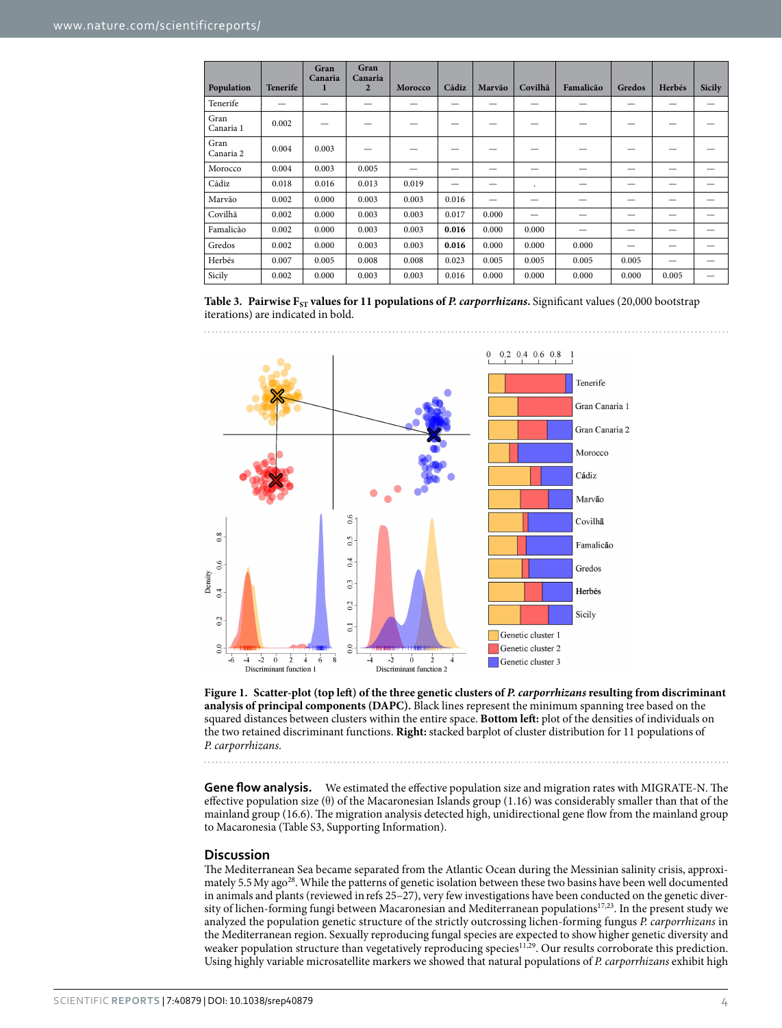<span id="page-3-0"></span>

|                   |                 | Gran<br>Canaria | Gran<br>Canaria |         |       |        |         |           |        |        |               |
|-------------------|-----------------|-----------------|-----------------|---------|-------|--------|---------|-----------|--------|--------|---------------|
| Population        | <b>Tenerife</b> | 1               | $\overline{2}$  | Morocco | Cádiz | Marvão | Covilhã | Famalicão | Gredos | Herbés | <b>Sicily</b> |
| Tenerife          |                 |                 |                 |         | –     |        |         |           |        |        |               |
| Gran<br>Canaria 1 | 0.002           |                 |                 |         |       |        |         |           |        |        |               |
| Gran<br>Canaria 2 | 0.004           | 0.003           |                 |         |       |        |         |           |        |        |               |
| Morocco           | 0.004           | 0.003           | 0.005           |         | –     |        |         |           | –      | –      |               |
| Cádiz             | 0.018           | 0.016           | 0.013           | 0.019   | —     |        | ٠       |           | –      | –      | –             |
| Marvão            | 0.002           | 0.000           | 0.003           | 0.003   | 0.016 |        |         |           |        |        |               |
| Covilhã           | 0.002           | 0.000           | 0.003           | 0.003   | 0.017 | 0.000  |         |           |        |        |               |
| Famalicão         | 0.002           | 0.000           | 0.003           | 0.003   | 0.016 | 0.000  | 0.000   |           |        |        |               |
| Gredos            | 0.002           | 0.000           | 0.003           | 0.003   | 0.016 | 0.000  | 0.000   | 0.000     |        |        |               |
| Herbés            | 0.007           | 0.005           | 0.008           | 0.008   | 0.023 | 0.005  | 0.005   | 0.005     | 0.005  |        |               |
| Sicily            | 0.002           | 0.000           | 0.003           | 0.003   | 0.016 | 0.000  | 0.000   | 0.000     | 0.000  | 0.005  |               |

**Table 3.** Pairwise  $F_{ST}$  values for 11 populations of *P. carporrhizans*. Significant values (20,000 bootstrap iterations) are indicated in bold.



<span id="page-3-1"></span>**Figure 1. Scatter-plot (top left) of the three genetic clusters of** *P. carporrhizans* **resulting from discriminant analysis of principal components (DAPC).** Black lines represent the minimum spanning tree based on the squared distances between clusters within the entire space. **Bottom left:** plot of the densities of individuals on the two retained discriminant functions. **Right:** stacked barplot of cluster distribution for 11 populations of *P. carporrhizans*.

**Gene flow analysis.** We estimated the effective population size and migration rates with MIGRATE-N. The effective population size (θ) of the Macaronesian Islands group (1.16) was considerably smaller than that of the mainland group (16.6). The migration analysis detected high, unidirectional gene flow from the mainland group to Macaronesia (Table S3, Supporting Information).

#### **Discussion**

The Mediterranean Sea became separated from the Atlantic Ocean during the Messinian salinity crisis, approximately 5.5 My ago<sup>28</sup>. While the patterns of genetic isolation between these two basins have been well documented in animals and plants (reviewed inrefs [25–27](#page-7-20)), very few investigations have been conducted on the genetic diversity of lichen-forming fungi between Macaronesian and Mediterranean populations<sup>17,23</sup>. In the present study we analyzed the population genetic structure of the strictly outcrossing lichen-forming fungus *P. carporrhizans* in the Mediterranean region. Sexually reproducing fungal species are expected to show higher genetic diversity and weaker population structure than vegetatively reproducing species<sup>11[,29](#page-7-22)</sup>. Our results corroborate this prediction. Using highly variable microsatellite markers we showed that natural populations of *P. carporrhizans* exhibit high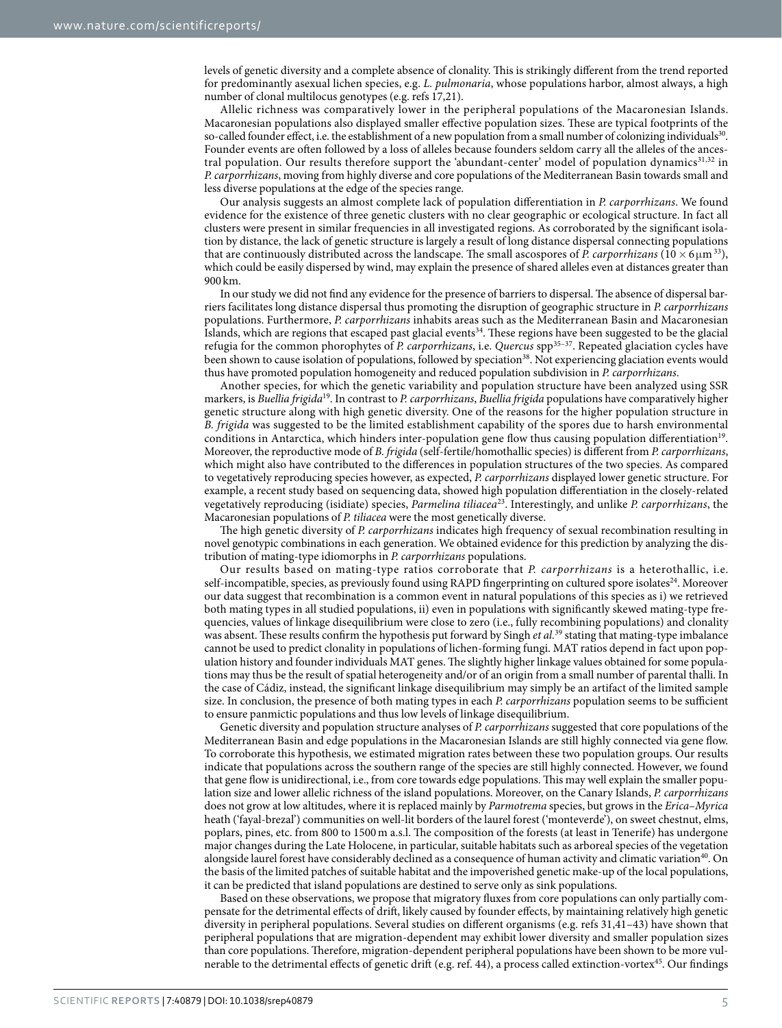levels of genetic diversity and a complete absence of clonality. This is strikingly different from the trend reported for predominantly asexual lichen species, e.g. *L. pulmonaria*, whose populations harbor, almost always, a high number of clonal multilocus genotypes (e.g. refs [17](#page-7-12)[,21](#page-7-16)).

Allelic richness was comparatively lower in the peripheral populations of the Macaronesian Islands. Macaronesian populations also displayed smaller effective population sizes. These are typical footprints of the so-called founder effect, i.e. the establishment of a new population from a small number of colonizing individuals<sup>30</sup>. Founder events are often followed by a loss of alleles because founders seldom carry all the alleles of the ancestral population. Our results therefore support the 'abundant-center' model of population dynamics<sup>31,32</sup> in *P. carporrhizans*, moving from highly diverse and core populations of the Mediterranean Basin towards small and less diverse populations at the edge of the species range.

Our analysis suggests an almost complete lack of population differentiation in *P. carporrhizans*. We found evidence for the existence of three genetic clusters with no clear geographic or ecological structure. In fact all clusters were present in similar frequencies in all investigated regions. As corroborated by the significant isolation by distance, the lack of genetic structure is largely a result of long distance dispersal connecting populations that are continuously distributed across the landscape. The small ascospores of *P. carporrhizans* ( $10 \times 6 \mu m^{33}$  $10 \times 6 \mu m^{33}$  $10 \times 6 \mu m^{33}$ ), which could be easily dispersed by wind, may explain the presence of shared alleles even at distances greater than 900 km.

In our study we did not find any evidence for the presence of barriers to dispersal. The absence of dispersal barriers facilitates long distance dispersal thus promoting the disruption of geographic structure in *P. carporrhizans* populations. Furthermore, *P. carporrhizans* inhabits areas such as the Mediterranean Basin and Macaronesian Islands, which are regions that escaped past glacial event[s34.](#page-7-27) These regions have been suggested to be the glacial refugia for the common phorophytes of *P. carporrhizans*, i.e. *Quercus* spp[35–37](#page-7-28). Repeated glaciation cycles have been shown to cause isolation of populations, followed by speciation<sup>[38](#page-7-29)</sup>. Not experiencing glaciation events would thus have promoted population homogeneity and reduced population subdivision in *P. carporrhizans*.

Another species, for which the genetic variability and population structure have been analyzed using SSR markers, is *Buellia frigida*[19](#page-7-14). In contrast to *P. carporrhizans*, *Buellia frigida* populations have comparatively higher genetic structure along with high genetic diversity. One of the reasons for the higher population structure in *B. frigida* was suggested to be the limited establishment capability of the spores due to harsh environmental conditions in Antarctica, which hinders inter-population gene flow thus causing population differentiation<sup>19</sup>. Moreover, the reproductive mode of *B. frigida* (self-fertile/homothallic species) is different from *P. carporrhizans*, which might also have contributed to the differences in population structures of the two species. As compared to vegetatively reproducing species however, as expected, *P. carporrhizans* displayed lower genetic structure. For example, a recent study based on sequencing data, showed high population differentiation in the closely-related vegetatively reproducing (isidiate) species, *Parmelina tiliacea*[23.](#page-7-18) Interestingly, and unlike *P. carporrhizans*, the Macaronesian populations of *P. tiliacea* were the most genetically diverse.

The high genetic diversity of *P. carporrhizans* indicates high frequency of sexual recombination resulting in novel genotypic combinations in each generation. We obtained evidence for this prediction by analyzing the distribution of mating-type idiomorphs in *P. carporrhizans* populations.

Our results based on mating-type ratios corroborate that *P. carporrhizans* is a heterothallic, i.e. self-incompatible, species, as previously found using RAPD fingerprinting on cultured spore isolates<sup>24</sup>. Moreover our data suggest that recombination is a common event in natural populations of this species as i) we retrieved both mating types in all studied populations, ii) even in populations with significantly skewed mating-type frequencies, values of linkage disequilibrium were close to zero (i.e., fully recombining populations) and clonality was absent. These results confirm the hypothesis put forward by Singh *et al.*<sup>[39](#page-7-30)</sup> stating that mating-type imbalance cannot be used to predict clonality in populations of lichen-forming fungi. MAT ratios depend in fact upon population history and founder individuals MAT genes. The slightly higher linkage values obtained for some populations may thus be the result of spatial heterogeneity and/or of an origin from a small number of parental thalli. In the case of Cádiz, instead, the significant linkage disequilibrium may simply be an artifact of the limited sample size. In conclusion, the presence of both mating types in each *P. carporrhizans* population seems to be sufficient to ensure panmictic populations and thus low levels of linkage disequilibrium.

Genetic diversity and population structure analyses of *P. carporrhizans* suggested that core populations of the Mediterranean Basin and edge populations in the Macaronesian Islands are still highly connected via gene flow. To corroborate this hypothesis, we estimated migration rates between these two population groups. Our results indicate that populations across the southern range of the species are still highly connected. However, we found that gene flow is unidirectional, i.e., from core towards edge populations. This may well explain the smaller population size and lower allelic richness of the island populations. Moreover, on the Canary Islands, *P. carporrhizans* does not grow at low altitudes, where it is replaced mainly by *Parmotrema* species, but grows in the *Erica*–*Myrica* heath ('fayal-brezal') communities on well-lit borders of the laurel forest ('monteverde'), on sweet chestnut, elms, poplars, pines, etc. from 800 to 1500 m a.s.l. The composition of the forests (at least in Tenerife) has undergone major changes during the Late Holocene, in particular, suitable habitats such as arboreal species of the vegetation alongside laurel forest have considerably declined as a consequence of human activity and climatic variation<sup>[40](#page-7-31)</sup>. On the basis of the limited patches of suitable habitat and the impoverished genetic make-up of the local populations, it can be predicted that island populations are destined to serve only as sink populations.

Based on these observations, we propose that migratory fluxes from core populations can only partially compensate for the detrimental effects of drift, likely caused by founder effects, by maintaining relatively high genetic diversity in peripheral populations. Several studies on different organisms (e.g. refs [31](#page-7-24)[,41–43\)](#page-7-32) have shown that peripheral populations that are migration-dependent may exhibit lower diversity and smaller population sizes than core populations. Therefore, migration-dependent peripheral populations have been shown to be more vul-nerable to the detrimental effects of genetic drift (e.g. ref. [44\)](#page-7-33), a process called extinction-vortex<sup>[45](#page-8-0)</sup>. Our findings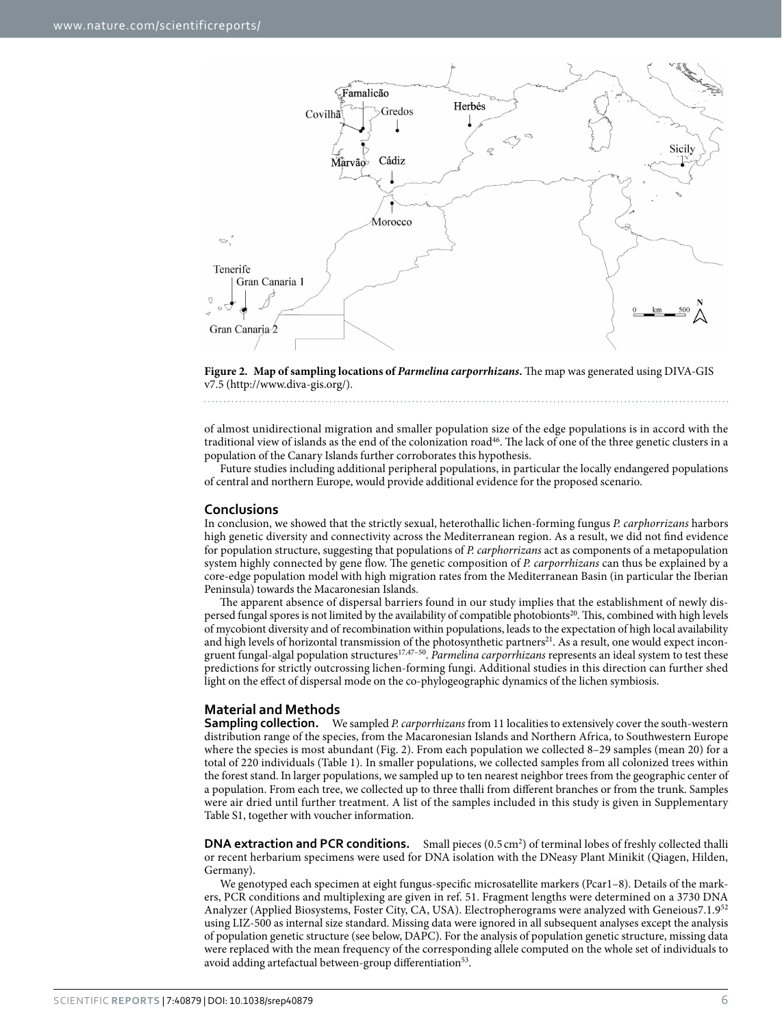

<span id="page-5-0"></span>**Figure 2. Map of sampling locations of** *Parmelina carporrhizans***.** The map was generated using DIVA-GIS v7.5 [\(http://www.diva-gis.org/](http://www.diva-gis.org)).

of almost unidirectional migration and smaller population size of the edge populations is in accord with the traditional view of islands as the end of the colonization road<sup>46</sup>. The lack of one of the three genetic clusters in a population of the Canary Islands further corroborates this hypothesis.

Future studies including additional peripheral populations, in particular the locally endangered populations of central and northern Europe, would provide additional evidence for the proposed scenario.

#### **Conclusions**

In conclusion, we showed that the strictly sexual, heterothallic lichen-forming fungus *P. carphorrizans* harbors high genetic diversity and connectivity across the Mediterranean region. As a result, we did not find evidence for population structure, suggesting that populations of *P. carphorrizans* act as components of a metapopulation system highly connected by gene flow. The genetic composition of *P. carporrhizans* can thus be explained by a core-edge population model with high migration rates from the Mediterranean Basin (in particular the Iberian Peninsula) towards the Macaronesian Islands.

The apparent absence of dispersal barriers found in our study implies that the establishment of newly dispersed fungal spores is not limited by the availability of compatible photobionts<sup>20</sup>. This, combined with high levels of mycobiont diversity and of recombination within populations, leads to the expectation of high local availability and high levels of horizontal transmission of the photosynthetic partners<sup>21</sup>. As a result, one would expect incongruent fungal-algal population structure[s17,](#page-7-12)[47–50](#page-8-2). *Parmelina carporrhizans* represents an ideal system to test these predictions for strictly outcrossing lichen-forming fungi. Additional studies in this direction can further shed light on the effect of dispersal mode on the co-phylogeographic dynamics of the lichen symbiosis.

### **Material and Methods**

**Sampling collection.** We sampled *P. carporrhizans* from 11 localities to extensively cover the south-western distribution range of the species, from the Macaronesian Islands and Northern Africa, to Southwestern Europe where the species is most abundant ([Fig. 2\)](#page-5-0). From each population we collected 8–29 samples (mean 20) for a total of 220 individuals ([Table 1](#page-2-0)). In smaller populations, we collected samples from all colonized trees within the forest stand. In larger populations, we sampled up to ten nearest neighbor trees from the geographic center of a population. From each tree, we collected up to three thalli from different branches or from the trunk. Samples were air dried until further treatment. A list of the samples included in this study is given in Supplementary Table S1, together with voucher information.

**DNA extraction and PCR conditions.** Small pieces (0.5 cm<sup>2</sup>) of terminal lobes of freshly collected thalli or recent herbarium specimens were used for DNA isolation with the DNeasy Plant Minikit (Qiagen, Hilden, Germany).

We genotyped each specimen at eight fungus-specific microsatellite markers (Pcar1–8). Details of the markers, PCR conditions and multiplexing are given in ref. [51](#page-8-3). Fragment lengths were determined on a 3730 DNA Analyzer (Applied Biosystems, Foster City, CA, USA). Electropherograms were analyzed with Geneious7.1.9[52](#page-8-4) using LIZ-500 as internal size standard. Missing data were ignored in all subsequent analyses except the analysis of population genetic structure (see below, DAPC). For the analysis of population genetic structure, missing data were replaced with the mean frequency of the corresponding allele computed on the whole set of individuals to avoid adding artefactual between-group differentiation<sup>53</sup>.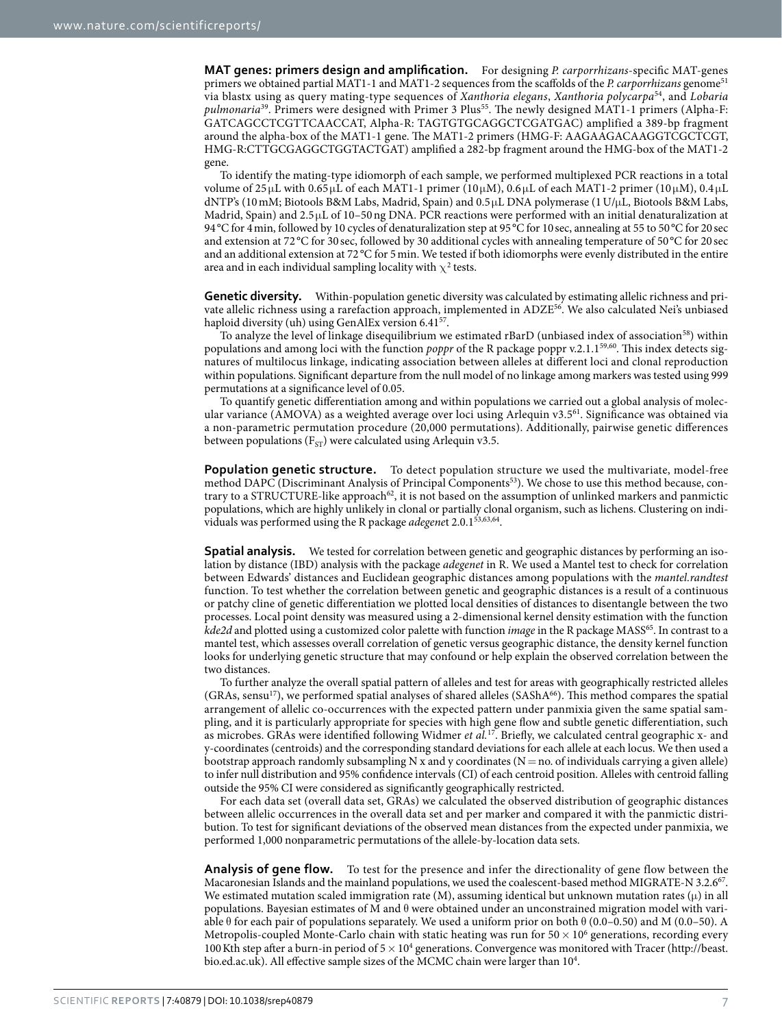**MAT genes: primers design and amplification.** For designing *P. carporrhizans*-specific MAT-genes primers we obtained partial MAT1-1 and MAT1-2 sequences from the scaffolds of the *P. carporrhizans* genome[51](#page-8-3) via blastx using as query mating-type sequences of *Xanthoria elegans*, *Xanthoria polycarpa*[54](#page-8-6), and *Lobaria pulmonaria*[39](#page-7-30). Primers were designed with Primer 3 Plu[s55](#page-8-7). The newly designed MAT1-1 primers (Alpha-F: GATCAGCCTCGTTCAACCAT, Alpha-R: TAGTGTGCAGGCTCGATGAC) amplified a 389-bp fragment around the alpha-box of the MAT1-1 gene. The MAT1-2 primers (HMG-F: AAGAAGACAAGGTCGCTCGT, HMG-R:CTTGCGAGGCTGGTACTGAT) amplified a 282-bp fragment around the HMG-box of the MAT1-2 gene.

To identify the mating-type idiomorph of each sample, we performed multiplexed PCR reactions in a total volume of  $25 \mu$ L with  $0.65 \mu$ L of each MAT1-1 primer (10μM),  $0.6 \mu$ L of each MAT1-2 primer (10μM),  $0.4 \mu$ L dNTP's (10mM; Biotools B&M Labs, Madrid, Spain) and 0.5μL DNA polymerase (1U/μL, Biotools B&M Labs, Madrid, Spain) and 2.5 μL of 10–50ng DNA. PCR reactions were performed with an initial denaturalization at 94°C for 4min, followed by 10 cycles of denaturalization step at 95°C for 10sec, annealing at 55 to 50°C for 20sec and extension at 72 °C for 30 sec, followed by 30 additional cycles with annealing temperature of 50 °C for 20 sec and an additional extension at 72 °C for 5 min. We tested if both idiomorphs were evenly distributed in the entire area and in each individual sampling locality with  $\chi^2$  tests.

**Genetic diversity.** Within-population genetic diversity was calculated by estimating allelic richness and private allelic richness using a rarefaction approach, implemented in ADZ[E56.](#page-8-8) We also calculated Nei's unbiased haploid diversity (uh) using GenAlEx version 6.41<sup>[57](#page-8-9)</sup>.

To analyze the level of linkage disequilibrium we estimated rBarD (unbiased index of association<sup>58</sup>) within populations and among loci with the function *poppr* of the R package poppr v.2.1.1[59](#page-8-11),[60.](#page-8-12) This index detects signatures of multilocus linkage, indicating association between alleles at different loci and clonal reproduction within populations. Significant departure from the null model of no linkage among markers was tested using 999 permutations at a significance level of 0.05.

To quantify genetic differentiation among and within populations we carried out a global analysis of molecular variance (AMOVA) as a weighted average over loci using Arlequin v3.[561](#page-8-13). Significance was obtained via a non-parametric permutation procedure (20,000 permutations). Additionally, pairwise genetic differences between populations ( $F_{ST}$ ) were calculated using Arlequin v3.5.

**Population genetic structure.** To detect population structure we used the multivariate, model-free method DAPC (Discriminant Analysis of Principal Components<sup>53</sup>). We chose to use this method because, con-trary to a STRUCTURE-like approach<sup>[62](#page-8-14)</sup>, it is not based on the assumption of unlinked markers and panmictic populations, which are highly unlikely in clonal or partially clonal organism, such as lichens. Clustering on individuals was performed using the R package *adegene*t 2.0.1[53,](#page-8-5)[63,](#page-8-15)[64.](#page-8-16)

**Spatial analysis.** We tested for correlation between genetic and geographic distances by performing an isolation by distance (IBD) analysis with the package *adegenet* in R. We used a Mantel test to check for correlation between Edwards' distances and Euclidean geographic distances among populations with the *mantel.randtest* function. To test whether the correlation between genetic and geographic distances is a result of a continuous or patchy cline of genetic differentiation we plotted local densities of distances to disentangle between the two processes. Local point density was measured using a 2-dimensional kernel density estimation with the function *kde2d* and plotted using a customized color palette with function *image* in the R package MASS[65.](#page-8-17) In contrast to a mantel test, which assesses overall correlation of genetic versus geographic distance, the density kernel function looks for underlying genetic structure that may confound or help explain the observed correlation between the two distances.

To further analyze the overall spatial pattern of alleles and test for areas with geographically restricted alleles  $(GRAs, sensu<sup>17</sup>)$ , we performed spatial analyses of shared alleles  $(SASHA<sup>66</sup>)$ . This method compares the spatial arrangement of allelic co-occurrences with the expected pattern under panmixia given the same spatial sampling, and it is particularly appropriate for species with high gene flow and subtle genetic differentiation, such as microbes. GRAs were identified following Widmer *et al.*[17](#page-7-12). Briefly, we calculated central geographic x- and y-coordinates (centroids) and the corresponding standard deviations for each allele at each locus. We then used a bootstrap approach randomly subsampling N x and y coordinates ( $N=$  no. of individuals carrying a given allele) to infer null distribution and 95% confidence intervals (CI) of each centroid position. Alleles with centroid falling outside the 95% CI were considered as significantly geographically restricted.

For each data set (overall data set, GRAs) we calculated the observed distribution of geographic distances between allelic occurrences in the overall data set and per marker and compared it with the panmictic distribution. To test for significant deviations of the observed mean distances from the expected under panmixia, we performed 1,000 nonparametric permutations of the allele-by-location data sets.

**Analysis of gene flow.** To test for the presence and infer the directionality of gene flow between the Macaronesian Islands and the mainland populations, we used the coalescent-based method MIGRATE-N 3.2.6[67.](#page-8-19) We estimated mutation scaled immigration rate (M), assuming identical but unknown mutation rates ( $\mu$ ) in all populations. Bayesian estimates of M and θ were obtained under an unconstrained migration model with variable θ for each pair of populations separately. We used a uniform prior on both θ (0.0–0.50) and M (0.0–50). A Metropolis-coupled Monte-Carlo chain with static heating was run for  $50 \times 10^6$  generations, recording every 100 Kth step after a burn-in period of  $5 \times 10^4$  generations. Convergence was monitored with Tracer [\(http://beast.](http://beast.bio.ed.ac.uk) [bio.ed.ac.uk\)](http://beast.bio.ed.ac.uk). All effective sample sizes of the MCMC chain were larger than 10<sup>4</sup>.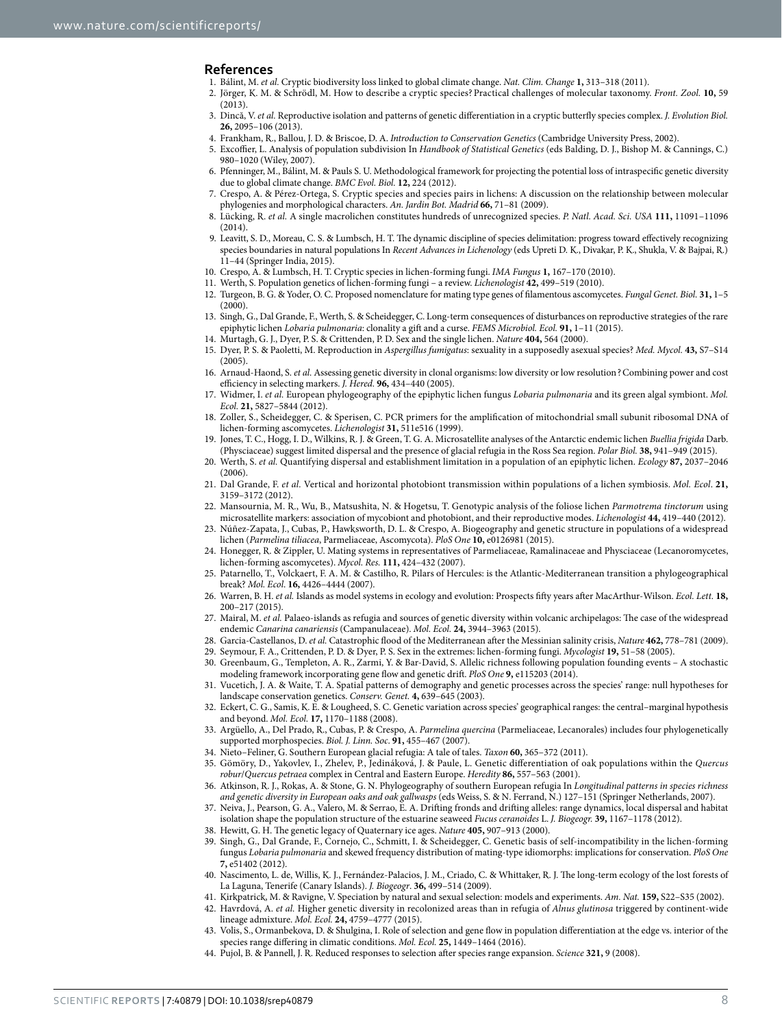#### <span id="page-7-0"></span>**References**

- <span id="page-7-5"></span><span id="page-7-4"></span><span id="page-7-3"></span><span id="page-7-2"></span><span id="page-7-1"></span>1. Bálint, M. *et al.* Cryptic biodiversity loss linked to global climate change. *Nat. Clim. Change* **1,** 313–318 (2011).
	- 2. Jörger, K. M. & Schrödl, M. How to describe a cryptic species?Practical challenges of molecular taxonomy. *Front. Zool.* **10,** 59  $(2013)$
	- 3. Dincă, V. *et al.* Reproductive isolation and patterns of genetic differentiation in a cryptic butterfly species complex. *J. Evolution Biol.* **26,** 2095–106 (2013).
	- 4. Frankham, R., Ballou, J. D. & Briscoe, D. A. *Introduction to Conservation Genetics* (Cambridge University Press, 2002).
	- 5. Excoffier, L. Analysis of population subdivision In *Handbook of Statistical Genetics* (eds Balding, D. J., Bishop M. & Cannings, C.) 980–1020 (Wiley, 2007).
	- 6. Pfenninger, M., Bálint, M. & Pauls S. U. Methodological framework for projecting the potential loss of intraspecific genetic diversity due to global climate change. *BMC Evol. Biol.* **12,** 224 (2012).
	- 7. Crespo, A. & Pérez-Ortega, S. Cryptic species and species pairs in lichens: A discussion on the relationship between molecular phylogenies and morphological characters. *An. Jardin Bot. Madrid* **66,** 71–81 (2009).
	- 8. Lücking, R. *et al.* A single macrolichen constitutes hundreds of unrecognized species. *P. Natl. Acad. Sci. USA* **111,** 11091–11096 (2014).
	- 9. Leavitt, S. D., Moreau, C. S. & Lumbsch, H. T. The dynamic discipline of species delimitation: progress toward effectively recognizing species boundaries in natural populations In *Recent Advances in Lichenology* (eds Upreti D. K., Divakar, P. K., Shukla, V. & Bajpai, R.) 11–44 (Springer India, 2015).
- <span id="page-7-7"></span><span id="page-7-6"></span>10. Crespo, A. & Lumbsch, H. T. Cryptic species in lichen-forming fungi. *IMA Fungus* **1,** 167–170 (2010).
- <span id="page-7-9"></span><span id="page-7-8"></span>11. Werth, S. Population genetics of lichen-forming fungi – a review. *Lichenologist* **42,** 499–519 (2010). 12. Turgeon, B. G. & Yoder, O. C. Proposed nomenclature for mating type genes of filamentous ascomycetes. *Fungal Genet. Biol.* **31,** 1–5 (2000).
- <span id="page-7-10"></span>13. Singh, G., Dal Grande, F., Werth, S. & Scheidegger, C. Long-term consequences of disturbances on reproductive strategies of the rare epiphytic lichen *Lobaria pulmonaria*: clonality a gift and a curse. *FEMS Microbiol. Ecol.* **91,** 1–11 (2015).
- 14. Murtagh, G. J., Dyer, P. S. & Crittenden, P. D. Sex and the single lichen. *Nature* **404,** 564 (2000). 15. Dyer, P. S. & Paoletti, M. Reproduction in *Aspergillus fumigatus*: sexuality in a supposedly asexual species? *Med. Mycol.* **43,** S7–S14  $(2005)$
- <span id="page-7-11"></span>16. Arnaud-Haond, S. *et al.* Assessing genetic diversity in clonal organisms: low diversity or low resolution?Combining power and cost efficiency in selecting markers. *J. Hered.* **96,** 434–440 (2005).
- <span id="page-7-12"></span>17. Widmer, I. *et al.* European phylogeography of the epiphytic lichen fungus *Lobaria pulmonaria* and its green algal symbiont. *Mol. Ecol.* **21,** 5827–5844 (2012).
- <span id="page-7-13"></span>18. Zoller, S., Scheidegger, C. & Sperisen, C. PCR primers for the amplification of mitochondrial small subunit ribosomal DNA of lichen-forming ascomycetes. *Lichenologist* **31,** 511e516 (1999).
- <span id="page-7-14"></span>19. Jones, T. C., Hogg, I. D., Wilkins, R. J. & Green, T. G. A. Microsatellite analyses of the Antarctic endemic lichen *Buellia frigida* Darb. (Physciaceae) suggest limited dispersal and the presence of glacial refugia in the Ross Sea region. *Polar Biol.* **38,** 941–949 (2015).
- <span id="page-7-15"></span>20. Werth, S. *et al.* Quantifying dispersal and establishment limitation in a population of an epiphytic lichen. *Ecology* **87,** 2037–2046  $(2006)$
- <span id="page-7-16"></span>21. Dal Grande, F. *et al.* Vertical and horizontal photobiont transmission within populations of a lichen symbiosis. *Mol. Ecol*. **21,** 3159–3172 (2012).
- <span id="page-7-17"></span>22. Mansournia, M. R., Wu, B., Matsushita, N. & Hogetsu, T. Genotypic analysis of the foliose lichen *Parmotrema tinctorum* using microsatellite markers: association of mycobiont and photobiont, and their reproductive modes. *Lichenologist* **44,** 419–440 (2012).
- <span id="page-7-18"></span>23. Núñez-Zapata, J., Cubas, P., Hawksworth, D. L. & Crespo, A. Biogeography and genetic structure in populations of a widespread lichen (*Parmelina tiliacea*, Parmeliaceae, Ascomycota). *PloS One* **10,** e0126981 (2015).
- <span id="page-7-19"></span>24. Honegger, R. & Zippler, U. Mating systems in representatives of Parmeliaceae, Ramalinaceae and Physciaceae (Lecanoromycetes, lichen-forming ascomycetes). *Mycol. Res.* **111,** 424–432 (2007).
- <span id="page-7-20"></span>25. Patarnello, T., Volckaert, F. A. M. & Castilho, R. Pilars of Hercules: is the Atlantic-Mediterranean transition a phylogeographical break? *Mol. Ecol*. **16,** 4426–4444 (2007).
- 26. Warren, B. H. *et al.* Islands as model systems in ecology and evolution: Prospects fifty years after MacArthur-Wilson. *Ecol. Lett.* **18,** 200–217 (2015).
- 27. Mairal, M. *et al.* Palaeo-islands as refugia and sources of genetic diversity within volcanic archipelagos: The case of the widespread endemic *Canarina canariensis* (Campanulaceae). *Mol. Ecol.* **24,** 3944–3963 (2015).
- <span id="page-7-21"></span>28. Garcia-Castellanos, D. *et al.* Catastrophic flood of the Mediterranean after the Messinian salinity crisis, *Nature* **462,** 778–781 (2009).
- <span id="page-7-22"></span>29. Seymour, F. A., Crittenden, P. D. & Dyer, P. S. Sex in the extremes: lichen-forming fungi. *Mycologist* **19,** 51–58 (2005). 30. Greenbaum, G., Templeton, A. R., Zarmi, Y. & Bar-David, S. Allelic richness following population founding events – A stochastic
- <span id="page-7-23"></span>modeling framework incorporating gene flow and genetic drift. *PloS One* **9,** e115203 (2014).
- <span id="page-7-24"></span>31. Vucetich, J. A. & Waite, T. A. Spatial patterns of demography and genetic processes across the species' range: null hypotheses for landscape conservation genetics. *Conserv. Genet.* **4,** 639–645 (2003).
- <span id="page-7-25"></span>32. Eckert, C. G., Samis, K. E. & Lougheed, S. C. Genetic variation across species' geographical ranges: the central–marginal hypothesis and beyond. *Mol. Ecol.* **17,** 1170–1188 (2008).
- <span id="page-7-26"></span>33. Argüello, A., Del Prado, R., Cubas, P. & Crespo, A. *Parmelina quercina* (Parmeliaceae, Lecanorales) includes four phylogenetically supported morphospecies. *Biol. J. Linn. Soc*. **91,** 455–467 (2007).
- <span id="page-7-27"></span>34. Nieto–Feliner, G. Southern European glacial refugia: A tale of tales. *Taxon* **60,** 365–372 (2011).
- <span id="page-7-28"></span>35. Gömöry, D., Yakovlev, I., Zhelev, P., Jedináková, J. & Paule, L. Genetic differentiation of oak populations within the *Quercus robur*/*Quercus petraea* complex in Central and Eastern Europe. *Heredity* **86,** 557–563 (2001).
- 36. Atkinson, R. J., Rokas, A. & Stone, G. N. Phylogeography of southern European refugia In *Longitudinal patterns in species richness and genetic diversity in European oaks and oak gallwasps* (eds Weiss, S. & N. Ferrand, N.) 127–151 (Springer Netherlands, 2007).
- 37. Neiva, J., Pearson, G. A., Valero, M. & Serrao, E. A. Drifting fronds and drifting alleles: range dynamics, local dispersal and habitat isolation shape the population structure of the estuarine seaweed *Fucus ceranoides* L. *J. Biogeogr.* **39,** 1167–1178 (2012).
- <span id="page-7-30"></span><span id="page-7-29"></span>38. Hewitt, G. H. The genetic legacy of Quaternary ice ages. *Nature* **405,** 907–913 (2000). 39. Singh, G., Dal Grande, F., Cornejo, C., Schmitt, I. & Scheidegger, C. Genetic basis of self-incompatibility in the lichen-forming fungus *Lobaria pulmonaria* and skewed frequency distribution of mating-type idiomorphs: implications for conservation. *PloS One* **7,** e51402 (2012).
- <span id="page-7-31"></span>40. Nascimento, L. de, Willis, K. J., Fernández-Palacios, J. M., Criado, C. & Whittaker, R. J. The long-term ecology of the lost forests of La Laguna, Tenerife (Canary Islands). *J. Biogeogr*. **36,** 499–514 (2009).
- <span id="page-7-32"></span>41. Kirkpatrick, M. & Ravigne, V. Speciation by natural and sexual selection: models and experiments. *Am. Nat.* **159,** S22–S35 (2002). 42. Havrdová, A. *et al.* Higher genetic diversity in recolonized areas than in refugia of *Alnus glutinosa* triggered by continent-wide lineage admixture. *Mol. Ecol.* **24,** 4759–4777 (2015).
- 43. Volis, S., Ormanbekova, D. & Shulgina, I. Role of selection and gene flow in population differentiation at the edge vs. interior of the species range differing in climatic conditions. *Mol. Ecol.* **25,** 1449–1464 (2016).
- <span id="page-7-33"></span>44. Pujol, B. & Pannell, J. R. Reduced responses to selection after species range expansion. *Science* **321,** 9 (2008).